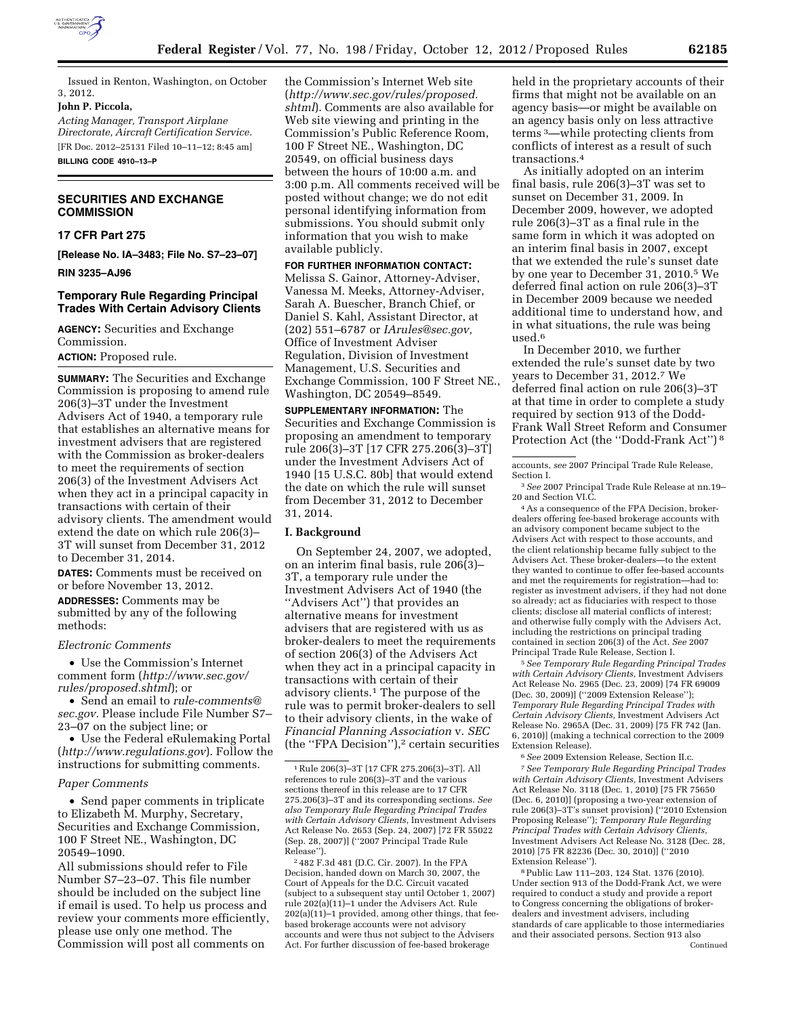

Issued in Renton, Washington, on October 3, 2012.

#### **John P. Piccola,**

*Acting Manager, Transport Airplane Directorate, Aircraft Certification Service.*  [FR Doc. 2012–25131 Filed 10–11–12; 8:45 am]

**BILLING CODE 4910–13–P** 

## **SECURITIES AND EXCHANGE COMMISSION**

### **17 CFR Part 275**

**[Release No. IA–3483; File No. S7–23–07]** 

**RIN 3235–AJ96** 

## **Temporary Rule Regarding Principal Trades With Certain Advisory Clients**

**AGENCY:** Securities and Exchange Commission.

#### **ACTION:** Proposed rule.

**SUMMARY:** The Securities and Exchange Commission is proposing to amend rule 206(3)–3T under the Investment Advisers Act of 1940, a temporary rule that establishes an alternative means for investment advisers that are registered with the Commission as broker-dealers to meet the requirements of section 206(3) of the Investment Advisers Act when they act in a principal capacity in transactions with certain of their advisory clients. The amendment would extend the date on which rule 206(3)– 3T will sunset from December 31, 2012 to December 31, 2014.

**DATES:** Comments must be received on or before November 13, 2012. **ADDRESSES:** Comments may be submitted by any of the following methods:

#### *Electronic Comments*

• Use the Commission's Internet comment form (*[http://www.sec.gov/](http://www.sec.gov/rules/proposed.shtml) [rules/proposed.shtml](http://www.sec.gov/rules/proposed.shtml)*); or

• Send an email to *[rule-comments@](mailto:rule-comments@sec.gov) [sec.gov.](mailto:rule-comments@sec.gov)* Please include File Number S7– 23–07 on the subject line; or

• Use the Federal eRulemaking Portal (*<http://www.regulations.gov>*). Follow the instructions for submitting comments.

### *Paper Comments*

• Send paper comments in triplicate to Elizabeth M. Murphy, Secretary, Securities and Exchange Commission, 100 F Street NE., Washington, DC 20549–1090.

All submissions should refer to File Number S7–23–07. This file number should be included on the subject line if email is used. To help us process and review your comments more efficiently, please use only one method. The Commission will post all comments on

the Commission's Internet Web site (*[http://www.sec.gov/rules/proposed.](http://www.sec.gov/rules/proposed.shtml) [shtml](http://www.sec.gov/rules/proposed.shtml)*). Comments are also available for Web site viewing and printing in the Commission's Public Reference Room, 100 F Street NE., Washington, DC 20549, on official business days between the hours of 10:00 a.m. and 3:00 p.m. All comments received will be posted without change; we do not edit personal identifying information from submissions. You should submit only information that you wish to make available publicly.

**FOR FURTHER INFORMATION CONTACT:** 

Melissa S. Gainor, Attorney-Adviser, Vanessa M. Meeks, Attorney-Adviser, Sarah A. Buescher, Branch Chief, or Daniel S. Kahl, Assistant Director, at (202) 551–6787 or *[IArules@sec.gov,](mailto:IArules@sec.gov)*  Office of Investment Adviser Regulation, Division of Investment Management, U.S. Securities and Exchange Commission, 100 F Street NE., Washington, DC 20549–8549.

**SUPPLEMENTARY INFORMATION:** The Securities and Exchange Commission is proposing an amendment to temporary rule 206(3)–3T [17 CFR 275.206(3)–3T] under the Investment Advisers Act of 1940 [15 U.S.C. 80b] that would extend the date on which the rule will sunset from December 31, 2012 to December 31, 2014.

#### **I. Background**

On September 24, 2007, we adopted, on an interim final basis, rule 206(3)– 3T, a temporary rule under the Investment Advisers Act of 1940 (the ''Advisers Act'') that provides an alternative means for investment advisers that are registered with us as broker-dealers to meet the requirements of section 206(3) of the Advisers Act when they act in a principal capacity in transactions with certain of their advisory clients.1 The purpose of the rule was to permit broker-dealers to sell to their advisory clients, in the wake of *Financial Planning Association* v. *SEC*  (the "FPA Decision"),<sup>2</sup> certain securities

2 482 F.3d 481 (D.C. Cir. 2007). In the FPA Decision, handed down on March 30, 2007, the Court of Appeals for the D.C. Circuit vacated (subject to a subsequent stay until October 1, 2007) rule 202(a)(11)–1 under the Advisers Act. Rule 202(a)(11)–1 provided, among other things, that feebased brokerage accounts were not advisory accounts and were thus not subject to the Advisers Act. For further discussion of fee-based brokerage

held in the proprietary accounts of their firms that might not be available on an agency basis—or might be available on an agency basis only on less attractive terms 3—while protecting clients from conflicts of interest as a result of such transactions.4

As initially adopted on an interim final basis, rule 206(3)–3T was set to sunset on December 31, 2009. In December 2009, however, we adopted rule 206(3)–3T as a final rule in the same form in which it was adopted on an interim final basis in 2007, except that we extended the rule's sunset date by one year to December 31, 2010.5 We deferred final action on rule 206(3)–3T in December 2009 because we needed additional time to understand how, and in what situations, the rule was being used.6

In December 2010, we further extended the rule's sunset date by two years to December 31, 2012.7 We deferred final action on rule 206(3)–3T at that time in order to complete a study required by section 913 of the Dodd-Frank Wall Street Reform and Consumer Protection Act (the ''Dodd-Frank Act'') 8

3*See* 2007 Principal Trade Rule Release at nn.19– 20 and Section VI.C.

4As a consequence of the FPA Decision, brokerdealers offering fee-based brokerage accounts with an advisory component became subject to the Advisers Act with respect to those accounts, and the client relationship became fully subject to the Advisers Act. These broker-dealers—to the extent they wanted to continue to offer fee-based accounts and met the requirements for registration—had to: register as investment advisers, if they had not done so already; act as fiduciaries with respect to those clients; disclose all material conflicts of interest; and otherwise fully comply with the Advisers Act, including the restrictions on principal trading contained in section 206(3) of the Act. *See* 2007 Principal Trade Rule Release, Section I.

5*See Temporary Rule Regarding Principal Trades with Certain Advisory Clients,* Investment Advisers Act Release No. 2965 (Dec. 23, 2009) [74 FR 69009 (Dec. 30, 2009)] (''2009 Extension Release''); *Temporary Rule Regarding Principal Trades with Certain Advisory Clients,* Investment Advisers Act Release No. 2965A (Dec. 31, 2009) [75 FR 742 (Jan. 6, 2010)] (making a technical correction to the 2009 Extension Release).

6*See* 2009 Extension Release, Section II.c.

7*See Temporary Rule Regarding Principal Trades with Certain Advisory Clients,* Investment Advisers Act Release No. 3118 (Dec. 1, 2010) [75 FR 75650 (Dec. 6, 2010)] (proposing a two-year extension of rule 206(3)–3T's sunset provision) (''2010 Extension Proposing Release''); *Temporary Rule Regarding Principal Trades with Certain Advisory Clients,*  Investment Advisers Act Release No. 3128 (Dec. 28, 2010) [75 FR 82236 (Dec. 30, 2010)] (''2010 Extension Release'').

8Public Law 111–203, 124 Stat. 1376 (2010). Under section 913 of the Dodd-Frank Act, we were required to conduct a study and provide a report to Congress concerning the obligations of brokerdealers and investment advisers, including standards of care applicable to those intermediaries and their associated persons. Section 913 also Continued

<sup>1</sup>Rule 206(3)–3T [17 CFR 275.206(3)–3T]. All references to rule 206(3)–3T and the various sections thereof in this release are to 17 CFR 275.206(3)–3T and its corresponding sections. *See also Temporary Rule Regarding Principal Trades with Certain Advisory Clients,* Investment Advisers Act Release No. 2653 (Sep. 24, 2007) [72 FR 55022 (Sep. 28, 2007)] (''2007 Principal Trade Rule Release'').

accounts, *see* 2007 Principal Trade Rule Release, Section I.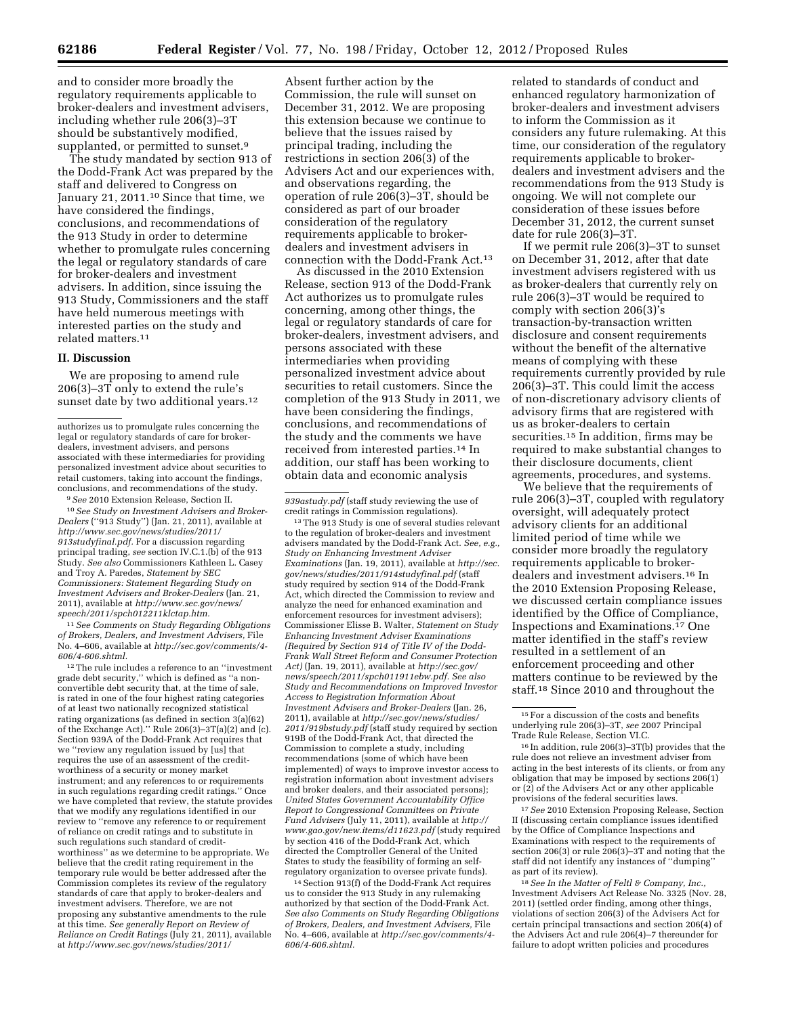and to consider more broadly the regulatory requirements applicable to broker-dealers and investment advisers, including whether rule 206(3)–3T should be substantively modified, supplanted, or permitted to sunset.<sup>9</sup>

The study mandated by section 913 of the Dodd-Frank Act was prepared by the staff and delivered to Congress on January 21, 2011.<sup>10</sup> Since that time, we have considered the findings, conclusions, and recommendations of the 913 Study in order to determine whether to promulgate rules concerning the legal or regulatory standards of care for broker-dealers and investment advisers. In addition, since issuing the 913 Study, Commissioners and the staff have held numerous meetings with interested parties on the study and related matters.11

#### **II. Discussion**

We are proposing to amend rule 206(3)–3T only to extend the rule's sunset date by two additional years.<sup>12</sup>

9*See* 2010 Extension Release, Section II.

10*See Study on Investment Advisers and Broker-Dealers* (''913 Study'') (Jan. 21, 2011), available at *[http://www.sec.gov/news/studies/2011/](http://www.sec.gov/news/studies/2011/913studyfinal.pdf) [913studyfinal.pdf.](http://www.sec.gov/news/studies/2011/913studyfinal.pdf)* For a discussion regarding principal trading, *see* section IV.C.1.(b) of the 913 Study. *See also* Commissioners Kathleen L. Casey and Troy A. Paredes, *Statement by SEC Commissioners: Statement Regarding Study on Investment Advisers and Broker-Dealers* (Jan. 21, 2011), available at *[http://www.sec.gov/news/](http://www.sec.gov/news/speech/2011/spch012211klctap.htm) [speech/2011/spch012211klctap.htm.](http://www.sec.gov/news/speech/2011/spch012211klctap.htm)* 

11*See Comments on Study Regarding Obligations of Brokers, Dealers, and Investment Advisers,* File No. 4–606, available at *[http://sec.gov/comments/4-](http://sec.gov/comments/4-606/4-606.shtml)  [606/4-606.shtml.](http://sec.gov/comments/4-606/4-606.shtml)* 

12The rule includes a reference to an ''investment grade debt security,'' which is defined as ''a nonconvertible debt security that, at the time of sale, is rated in one of the four highest rating categories of at least two nationally recognized statistical rating organizations (as defined in section 3(a)(62) of the Exchange Act).'' Rule 206(3)–3T(a)(2) and (c). Section 939A of the Dodd-Frank Act requires that we ''review any regulation issued by [us] that requires the use of an assessment of the creditworthiness of a security or money market instrument; and any references to or requirements in such regulations regarding credit ratings.'' Once we have completed that review, the statute provides that we modify any regulations identified in our review to ''remove any reference to or requirement of reliance on credit ratings and to substitute in such regulations such standard of creditworthiness'' as we determine to be appropriate. We believe that the credit rating requirement in the temporary rule would be better addressed after the Commission completes its review of the regulatory standards of care that apply to broker-dealers and investment advisers. Therefore, we are not proposing any substantive amendments to the rule at this time. *See generally Report on Review of Reliance on Credit Ratings* (July 21, 2011), available at *[http://www.sec.gov/news/studies/2011/](http://www.sec.gov/news/studies/2011/939astudy.pdf)*

Absent further action by the Commission, the rule will sunset on December 31, 2012. We are proposing this extension because we continue to believe that the issues raised by principal trading, including the restrictions in section 206(3) of the Advisers Act and our experiences with, and observations regarding, the operation of rule 206(3)–3T, should be considered as part of our broader consideration of the regulatory requirements applicable to brokerdealers and investment advisers in connection with the Dodd-Frank Act.13

As discussed in the 2010 Extension Release, section 913 of the Dodd-Frank Act authorizes us to promulgate rules concerning, among other things, the legal or regulatory standards of care for broker-dealers, investment advisers, and persons associated with these intermediaries when providing personalized investment advice about securities to retail customers. Since the completion of the 913 Study in 2011, we have been considering the findings, conclusions, and recommendations of the study and the comments we have received from interested parties.14 In addition, our staff has been working to obtain data and economic analysis

13The 913 Study is one of several studies relevant to the regulation of broker-dealers and investment advisers mandated by the Dodd-Frank Act. *See, e.g., Study on Enhancing Investment Adviser Examinations* (Jan. 19, 2011), available at *[http://sec.](http://sec.gov/news/studies/2011/914studyfinal.pdf) [gov/news/studies/2011/914studyfinal.pdf](http://sec.gov/news/studies/2011/914studyfinal.pdf)* (staff study required by section 914 of the Dodd-Frank Act, which directed the Commission to review and analyze the need for enhanced examination and enforcement resources for investment advisers); Commissioner Elisse B. Walter, *Statement on Study Enhancing Investment Adviser Examinations (Required by Section 914 of Title IV of the Dodd-Frank Wall Street Reform and Consumer Protection Act)* (Jan. 19, 2011), available at *[http://sec.gov/](http://sec.gov/news/speech/2011/spch011911ebw.pdf) [news/speech/2011/spch011911ebw.pdf.](http://sec.gov/news/speech/2011/spch011911ebw.pdf) See also Study and Recommendations on Improved Investor Access to Registration Information About Investment Advisers and Broker-Dealers* (Jan. 26, 2011), available at *[http://sec.gov/news/studies/](http://sec.gov/news/studies/2011/919bstudy.pdf) [2011/919bstudy.pdf](http://sec.gov/news/studies/2011/919bstudy.pdf)* (staff study required by section 919B of the Dodd-Frank Act, that directed the Commission to complete a study, including recommendations (some of which have been implemented) of ways to improve investor access to registration information about investment advisers and broker dealers, and their associated persons); *United States Government Accountability Office Report to Congressional Committees on Private Fund Advisers* (July 11, 2011), available at *[http://](http://www.gao.gov/new.items/d11623.pdf) [www.gao.gov/new.items/d11623.pdf](http://www.gao.gov/new.items/d11623.pdf)* (study required by section 416 of the Dodd-Frank Act, which directed the Comptroller General of the United States to study the feasibility of forming an selfregulatory organization to oversee private funds).

14Section 913(f) of the Dodd-Frank Act requires us to consider the 913 Study in any rulemaking authorized by that section of the Dodd-Frank Act. *See also Comments on Study Regarding Obligations of Brokers, Dealers, and Investment Advisers,* File No. 4–606, available at *[http://sec.gov/comments/4-](http://sec.gov/comments/4-606/4-606.shtml)  [606/4-606.shtml.](http://sec.gov/comments/4-606/4-606.shtml)* 

related to standards of conduct and enhanced regulatory harmonization of broker-dealers and investment advisers to inform the Commission as it considers any future rulemaking. At this time, our consideration of the regulatory requirements applicable to brokerdealers and investment advisers and the recommendations from the 913 Study is ongoing. We will not complete our consideration of these issues before December 31, 2012, the current sunset date for rule 206(3)–3T.

If we permit rule 206(3)–3T to sunset on December 31, 2012, after that date investment advisers registered with us as broker-dealers that currently rely on rule 206(3)–3T would be required to comply with section 206(3)'s transaction-by-transaction written disclosure and consent requirements without the benefit of the alternative means of complying with these requirements currently provided by rule 206(3)–3T. This could limit the access of non-discretionary advisory clients of advisory firms that are registered with us as broker-dealers to certain securities.15 In addition, firms may be required to make substantial changes to their disclosure documents, client agreements, procedures, and systems.

We believe that the requirements of rule 206(3)–3T, coupled with regulatory oversight, will adequately protect advisory clients for an additional limited period of time while we consider more broadly the regulatory requirements applicable to brokerdealers and investment advisers.16 In the 2010 Extension Proposing Release, we discussed certain compliance issues identified by the Office of Compliance, Inspections and Examinations.17 One matter identified in the staff's review resulted in a settlement of an enforcement proceeding and other matters continue to be reviewed by the staff.18 Since 2010 and throughout the

17*See* 2010 Extension Proposing Release, Section II (discussing certain compliance issues identified by the Office of Compliance Inspections and Examinations with respect to the requirements of section 206(3) or rule 206(3)–3T and noting that the staff did not identify any instances of ''dumping'' as part of its review).

18*See In the Matter of Feltl & Company, Inc.,*  Investment Advisers Act Release No. 3325 (Nov. 28, 2011) (settled order finding, among other things, violations of section 206(3) of the Advisers Act for certain principal transactions and section 206(4) of the Advisers Act and rule 206(4)–7 thereunder for failure to adopt written policies and procedures

authorizes us to promulgate rules concerning the legal or regulatory standards of care for brokerdealers, investment advisers, and persons associated with these intermediaries for providing personalized investment advice about securities to retail customers, taking into account the findings, conclusions, and recommendations of the study.

*[<sup>939</sup>astudy.pdf](http://www.sec.gov/news/studies/2011/939astudy.pdf)* (staff study reviewing the use of credit ratings in Commission regulations).

<sup>&</sup>lt;sup>15</sup> For a discussion of the costs and benefits underlying rule 206(3)–3T, *see* 2007 Principal Trade Rule Release, Section VI.C.

<sup>16</sup> In addition, rule 206(3)–3T(b) provides that the rule does not relieve an investment adviser from acting in the best interests of its clients, or from any obligation that may be imposed by sections 206(1) or (2) of the Advisers Act or any other applicable provisions of the federal securities laws.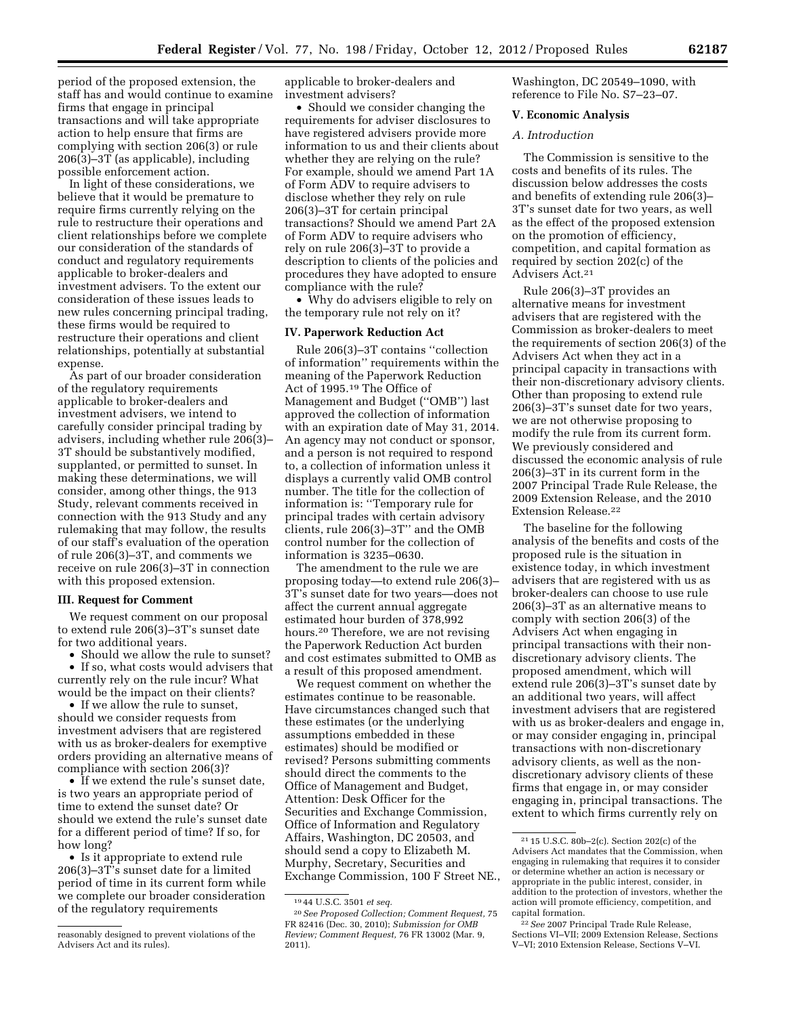period of the proposed extension, the staff has and would continue to examine firms that engage in principal transactions and will take appropriate action to help ensure that firms are complying with section 206(3) or rule 206(3)–3T (as applicable), including possible enforcement action.

In light of these considerations, we believe that it would be premature to require firms currently relying on the rule to restructure their operations and client relationships before we complete our consideration of the standards of conduct and regulatory requirements applicable to broker-dealers and investment advisers. To the extent our consideration of these issues leads to new rules concerning principal trading, these firms would be required to restructure their operations and client relationships, potentially at substantial expense.

As part of our broader consideration of the regulatory requirements applicable to broker-dealers and investment advisers, we intend to carefully consider principal trading by advisers, including whether rule 206(3)– 3T should be substantively modified, supplanted, or permitted to sunset. In making these determinations, we will consider, among other things, the 913 Study, relevant comments received in connection with the 913 Study and any rulemaking that may follow, the results of our staff's evaluation of the operation of rule 206(3)–3T, and comments we receive on rule 206(3)–3T in connection with this proposed extension.

## **III. Request for Comment**

We request comment on our proposal to extend rule 206(3)–3T's sunset date for two additional years.

• Should we allow the rule to sunset?

• If so, what costs would advisers that currently rely on the rule incur? What would be the impact on their clients?

• If we allow the rule to sunset, should we consider requests from investment advisers that are registered with us as broker-dealers for exemptive orders providing an alternative means of compliance with section 206(3)?

• If we extend the rule's sunset date, is two years an appropriate period of time to extend the sunset date? Or should we extend the rule's sunset date for a different period of time? If so, for how long?

• Is it appropriate to extend rule 206(3)–3T's sunset date for a limited period of time in its current form while we complete our broader consideration of the regulatory requirements

applicable to broker-dealers and investment advisers?

• Should we consider changing the requirements for adviser disclosures to have registered advisers provide more information to us and their clients about whether they are relying on the rule? For example, should we amend Part 1A of Form ADV to require advisers to disclose whether they rely on rule 206(3)–3T for certain principal transactions? Should we amend Part 2A of Form ADV to require advisers who rely on rule 206(3)–3T to provide a description to clients of the policies and procedures they have adopted to ensure compliance with the rule?

• Why do advisers eligible to rely on the temporary rule not rely on it?

## **IV. Paperwork Reduction Act**

Rule 206(3)–3T contains ''collection of information'' requirements within the meaning of the Paperwork Reduction Act of 1995.19 The Office of Management and Budget (''OMB'') last approved the collection of information with an expiration date of May 31, 2014. An agency may not conduct or sponsor, and a person is not required to respond to, a collection of information unless it displays a currently valid OMB control number. The title for the collection of information is: ''Temporary rule for principal trades with certain advisory clients, rule 206(3)–3T'' and the OMB control number for the collection of information is 3235–0630.

The amendment to the rule we are proposing today—to extend rule 206(3)– 3T's sunset date for two years—does not affect the current annual aggregate estimated hour burden of 378,992 hours.20 Therefore, we are not revising the Paperwork Reduction Act burden and cost estimates submitted to OMB as a result of this proposed amendment.

We request comment on whether the estimates continue to be reasonable. Have circumstances changed such that these estimates (or the underlying assumptions embedded in these estimates) should be modified or revised? Persons submitting comments should direct the comments to the Office of Management and Budget, Attention: Desk Officer for the Securities and Exchange Commission, Office of Information and Regulatory Affairs, Washington, DC 20503, and should send a copy to Elizabeth M. Murphy, Secretary, Securities and Exchange Commission, 100 F Street NE., Washington, DC 20549–1090, with reference to File No. S7–23–07.

## **V. Economic Analysis**

## *A. Introduction*

The Commission is sensitive to the costs and benefits of its rules. The discussion below addresses the costs and benefits of extending rule 206(3)– 3T's sunset date for two years, as well as the effect of the proposed extension on the promotion of efficiency, competition, and capital formation as required by section 202(c) of the Advisers Act.21

Rule 206(3)–3T provides an alternative means for investment advisers that are registered with the Commission as broker-dealers to meet the requirements of section 206(3) of the Advisers Act when they act in a principal capacity in transactions with their non-discretionary advisory clients. Other than proposing to extend rule 206(3)–3T's sunset date for two years, we are not otherwise proposing to modify the rule from its current form. We previously considered and discussed the economic analysis of rule 206(3)–3T in its current form in the 2007 Principal Trade Rule Release, the 2009 Extension Release, and the 2010 Extension Release.22

The baseline for the following analysis of the benefits and costs of the proposed rule is the situation in existence today, in which investment advisers that are registered with us as broker-dealers can choose to use rule 206(3)–3T as an alternative means to comply with section 206(3) of the Advisers Act when engaging in principal transactions with their nondiscretionary advisory clients. The proposed amendment, which will extend rule 206(3)–3T's sunset date by an additional two years, will affect investment advisers that are registered with us as broker-dealers and engage in, or may consider engaging in, principal transactions with non-discretionary advisory clients, as well as the nondiscretionary advisory clients of these firms that engage in, or may consider engaging in, principal transactions. The extent to which firms currently rely on

reasonably designed to prevent violations of the Advisers Act and its rules).

<sup>19</sup> 44 U.S.C. 3501 *et seq.* 

<sup>20</sup>*See Proposed Collection; Comment Request,* 75 FR 82416 (Dec. 30, 2010); *Submission for OMB Review; Comment Request,* 76 FR 13002 (Mar. 9, 2011).

<sup>21</sup> 15 U.S.C. 80b–2(c). Section 202(c) of the Advisers Act mandates that the Commission, when engaging in rulemaking that requires it to consider or determine whether an action is necessary or appropriate in the public interest, consider, in addition to the protection of investors, whether the action will promote efficiency, competition, and capital formation.

<sup>22</sup>*See* 2007 Principal Trade Rule Release, Sections VI–VII; 2009 Extension Release, Sections V–VI; 2010 Extension Release, Sections V–VI.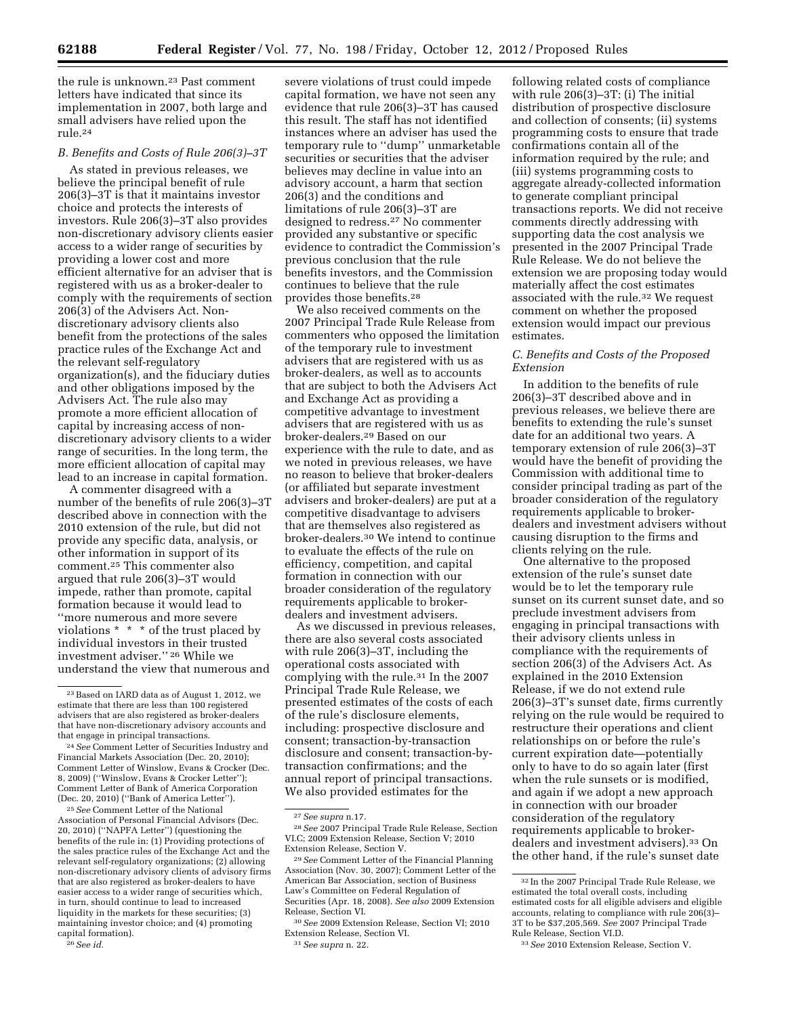the rule is unknown.23 Past comment letters have indicated that since its implementation in 2007, both large and small advisers have relied upon the rule.24

## *B. Benefits and Costs of Rule 206(3)–3T*

As stated in previous releases, we believe the principal benefit of rule 206(3)–3T is that it maintains investor choice and protects the interests of investors. Rule 206(3)–3T also provides non-discretionary advisory clients easier access to a wider range of securities by providing a lower cost and more efficient alternative for an adviser that is registered with us as a broker-dealer to comply with the requirements of section 206(3) of the Advisers Act. Nondiscretionary advisory clients also benefit from the protections of the sales practice rules of the Exchange Act and the relevant self-regulatory organization(s), and the fiduciary duties and other obligations imposed by the Advisers Act. The rule also may promote a more efficient allocation of capital by increasing access of nondiscretionary advisory clients to a wider range of securities. In the long term, the more efficient allocation of capital may lead to an increase in capital formation.

A commenter disagreed with a number of the benefits of rule 206(3)–3T described above in connection with the 2010 extension of the rule, but did not provide any specific data, analysis, or other information in support of its comment.25 This commenter also argued that rule 206(3)–3T would impede, rather than promote, capital formation because it would lead to ''more numerous and more severe violations \* \* \* of the trust placed by individual investors in their trusted investment adviser.'' 26 While we understand the view that numerous and

25*See* Comment Letter of the National Association of Personal Financial Advisors (Dec. 20, 2010) (''NAPFA Letter'') (questioning the benefits of the rule in: (1) Providing protections of the sales practice rules of the Exchange Act and the relevant self-regulatory organizations; (2) allowing non-discretionary advisory clients of advisory firms that are also registered as broker-dealers to have easier access to a wider range of securities which, in turn, should continue to lead to increased liquidity in the markets for these securities; (3) maintaining investor choice; and (4) promoting capital formation).

26*See id.* 

severe violations of trust could impede capital formation, we have not seen any evidence that rule 206(3)–3T has caused this result. The staff has not identified instances where an adviser has used the temporary rule to ''dump'' unmarketable securities or securities that the adviser believes may decline in value into an advisory account, a harm that section 206(3) and the conditions and limitations of rule 206(3)–3T are designed to redress.27 No commenter provided any substantive or specific evidence to contradict the Commission's previous conclusion that the rule benefits investors, and the Commission continues to believe that the rule provides those benefits.28

We also received comments on the 2007 Principal Trade Rule Release from commenters who opposed the limitation of the temporary rule to investment advisers that are registered with us as broker-dealers, as well as to accounts that are subject to both the Advisers Act and Exchange Act as providing a competitive advantage to investment advisers that are registered with us as broker-dealers.29 Based on our experience with the rule to date, and as we noted in previous releases, we have no reason to believe that broker-dealers (or affiliated but separate investment advisers and broker-dealers) are put at a competitive disadvantage to advisers that are themselves also registered as broker-dealers.30 We intend to continue to evaluate the effects of the rule on efficiency, competition, and capital formation in connection with our broader consideration of the regulatory requirements applicable to brokerdealers and investment advisers.

As we discussed in previous releases, there are also several costs associated with rule 206(3)–3T, including the operational costs associated with complying with the rule.31 In the 2007 Principal Trade Rule Release, we presented estimates of the costs of each of the rule's disclosure elements, including: prospective disclosure and consent; transaction-by-transaction disclosure and consent; transaction-bytransaction confirmations; and the annual report of principal transactions. We also provided estimates for the

31*See supra* n. 22.

following related costs of compliance with rule 206(3)–3T: (i) The initial distribution of prospective disclosure and collection of consents; (ii) systems programming costs to ensure that trade confirmations contain all of the information required by the rule; and (iii) systems programming costs to aggregate already-collected information to generate compliant principal transactions reports. We did not receive comments directly addressing with supporting data the cost analysis we presented in the 2007 Principal Trade Rule Release. We do not believe the extension we are proposing today would materially affect the cost estimates associated with the rule.32 We request comment on whether the proposed extension would impact our previous estimates.

## *C. Benefits and Costs of the Proposed Extension*

In addition to the benefits of rule 206(3)–3T described above and in previous releases, we believe there are benefits to extending the rule's sunset date for an additional two years. A temporary extension of rule 206(3)–3T would have the benefit of providing the Commission with additional time to consider principal trading as part of the broader consideration of the regulatory requirements applicable to brokerdealers and investment advisers without causing disruption to the firms and clients relying on the rule.

One alternative to the proposed extension of the rule's sunset date would be to let the temporary rule sunset on its current sunset date, and so preclude investment advisers from engaging in principal transactions with their advisory clients unless in compliance with the requirements of section 206(3) of the Advisers Act. As explained in the 2010 Extension Release, if we do not extend rule 206(3)–3T's sunset date, firms currently relying on the rule would be required to restructure their operations and client relationships on or before the rule's current expiration date—potentially only to have to do so again later (first when the rule sunsets or is modified, and again if we adopt a new approach in connection with our broader consideration of the regulatory requirements applicable to brokerdealers and investment advisers).33 On the other hand, if the rule's sunset date

<sup>23</sup>Based on IARD data as of August 1, 2012, we estimate that there are less than 100 registered advisers that are also registered as broker-dealers that have non-discretionary advisory accounts and that engage in principal transactions.

<sup>24</sup>*See* Comment Letter of Securities Industry and Financial Markets Association (Dec. 20, 2010); Comment Letter of Winslow, Evans & Crocker (Dec. 8, 2009) (''Winslow, Evans & Crocker Letter''); Comment Letter of Bank of America Corporation (Dec. 20, 2010) ("Bank of America Letter

<sup>27</sup>*See supra* n.17.

<sup>28</sup>*See* 2007 Principal Trade Rule Release, Section VI.C; 2009 Extension Release, Section V; 2010 Extension Release, Section V.

<sup>29</sup>*See* Comment Letter of the Financial Planning Association (Nov. 30, 2007); Comment Letter of the American Bar Association, section of Business Law's Committee on Federal Regulation of Securities (Apr. 18, 2008). *See also* 2009 Extension Release, Section VI.

<sup>30</sup>*See* 2009 Extension Release, Section VI; 2010 Extension Release, Section VI.

<sup>32</sup> In the 2007 Principal Trade Rule Release, we estimated the total overall costs, including estimated costs for all eligible advisers and eligible accounts, relating to compliance with rule 206(3)– 3T to be \$37,205,569. *See* 2007 Principal Trade Rule Release, Section VI.D.

<sup>33</sup>*See* 2010 Extension Release, Section V.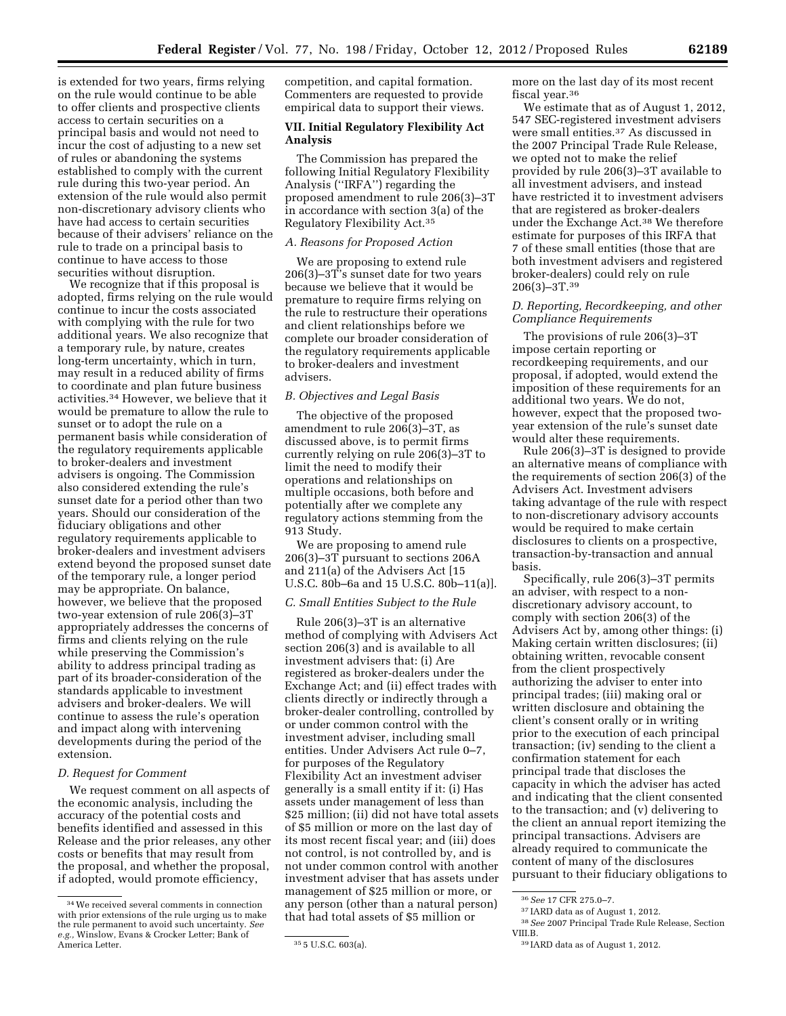is extended for two years, firms relying on the rule would continue to be able to offer clients and prospective clients access to certain securities on a principal basis and would not need to incur the cost of adjusting to a new set of rules or abandoning the systems established to comply with the current rule during this two-year period. An extension of the rule would also permit non-discretionary advisory clients who have had access to certain securities because of their advisers' reliance on the rule to trade on a principal basis to continue to have access to those securities without disruption.

We recognize that if this proposal is adopted, firms relying on the rule would continue to incur the costs associated with complying with the rule for two additional years. We also recognize that a temporary rule, by nature, creates long-term uncertainty, which in turn, may result in a reduced ability of firms to coordinate and plan future business activities.34 However, we believe that it would be premature to allow the rule to sunset or to adopt the rule on a permanent basis while consideration of the regulatory requirements applicable to broker-dealers and investment advisers is ongoing. The Commission also considered extending the rule's sunset date for a period other than two years. Should our consideration of the fiduciary obligations and other regulatory requirements applicable to broker-dealers and investment advisers extend beyond the proposed sunset date of the temporary rule, a longer period may be appropriate. On balance, however, we believe that the proposed two-year extension of rule 206(3)–3T appropriately addresses the concerns of firms and clients relying on the rule while preserving the Commission's ability to address principal trading as part of its broader-consideration of the standards applicable to investment advisers and broker-dealers. We will continue to assess the rule's operation and impact along with intervening developments during the period of the extension.

## *D. Request for Comment*

We request comment on all aspects of the economic analysis, including the accuracy of the potential costs and benefits identified and assessed in this Release and the prior releases, any other costs or benefits that may result from the proposal, and whether the proposal, if adopted, would promote efficiency,

competition, and capital formation. Commenters are requested to provide empirical data to support their views.

## **VII. Initial Regulatory Flexibility Act Analysis**

The Commission has prepared the following Initial Regulatory Flexibility Analysis (''IRFA'') regarding the proposed amendment to rule 206(3)–3T in accordance with section 3(a) of the Regulatory Flexibility Act.35

#### *A. Reasons for Proposed Action*

We are proposing to extend rule 206(3)–3T's sunset date for two years because we believe that it would be premature to require firms relying on the rule to restructure their operations and client relationships before we complete our broader consideration of the regulatory requirements applicable to broker-dealers and investment advisers.

## *B. Objectives and Legal Basis*

The objective of the proposed amendment to rule 206(3)–3T, as discussed above, is to permit firms currently relying on rule 206(3)–3T to limit the need to modify their operations and relationships on multiple occasions, both before and potentially after we complete any regulatory actions stemming from the 913 Study.

We are proposing to amend rule 206(3)–3T pursuant to sections 206A and 211(a) of the Advisers Act [15 U.S.C. 80b–6a and 15 U.S.C. 80b–11(a)].

#### *C. Small Entities Subject to the Rule*

Rule 206(3)–3T is an alternative method of complying with Advisers Act section 206(3) and is available to all investment advisers that: (i) Are registered as broker-dealers under the Exchange Act; and (ii) effect trades with clients directly or indirectly through a broker-dealer controlling, controlled by or under common control with the investment adviser, including small entities. Under Advisers Act rule 0–7, for purposes of the Regulatory Flexibility Act an investment adviser generally is a small entity if it: (i) Has assets under management of less than \$25 million; (ii) did not have total assets of \$5 million or more on the last day of its most recent fiscal year; and (iii) does not control, is not controlled by, and is not under common control with another investment adviser that has assets under management of \$25 million or more, or any person (other than a natural person) that had total assets of \$5 million or

more on the last day of its most recent fiscal year.36

We estimate that as of August 1, 2012, 547 SEC-registered investment advisers were small entities.37 As discussed in the 2007 Principal Trade Rule Release, we opted not to make the relief provided by rule 206(3)–3T available to all investment advisers, and instead have restricted it to investment advisers that are registered as broker-dealers under the Exchange Act.38 We therefore estimate for purposes of this IRFA that 7 of these small entities (those that are both investment advisers and registered broker-dealers) could rely on rule 206(3)–3T.39

## *D. Reporting, Recordkeeping, and other Compliance Requirements*

The provisions of rule 206(3)–3T impose certain reporting or recordkeeping requirements, and our proposal, if adopted, would extend the imposition of these requirements for an additional two years. We do not, however, expect that the proposed twoyear extension of the rule's sunset date would alter these requirements.

Rule 206(3)–3T is designed to provide an alternative means of compliance with the requirements of section 206(3) of the Advisers Act. Investment advisers taking advantage of the rule with respect to non-discretionary advisory accounts would be required to make certain disclosures to clients on a prospective, transaction-by-transaction and annual basis.

Specifically, rule 206(3)–3T permits an adviser, with respect to a nondiscretionary advisory account, to comply with section 206(3) of the Advisers Act by, among other things: (i) Making certain written disclosures; (ii) obtaining written, revocable consent from the client prospectively authorizing the adviser to enter into principal trades; (iii) making oral or written disclosure and obtaining the client's consent orally or in writing prior to the execution of each principal transaction; (iv) sending to the client a confirmation statement for each principal trade that discloses the capacity in which the adviser has acted and indicating that the client consented to the transaction; and (v) delivering to the client an annual report itemizing the principal transactions. Advisers are already required to communicate the content of many of the disclosures pursuant to their fiduciary obligations to

<sup>34</sup>We received several comments in connection with prior extensions of the rule urging us to make the rule permanent to avoid such uncertainty. *See e.g.,* Winslow, Evans & Crocker Letter; Bank of

<sup>35 5</sup> U.S.C. 603(a).

<sup>36</sup>*See* 17 CFR 275.0–7.

<sup>37</sup> IARD data as of August 1, 2012.

<sup>38</sup>*See* 2007 Principal Trade Rule Release, Section VIII.B.

<sup>39</sup> IARD data as of August 1, 2012.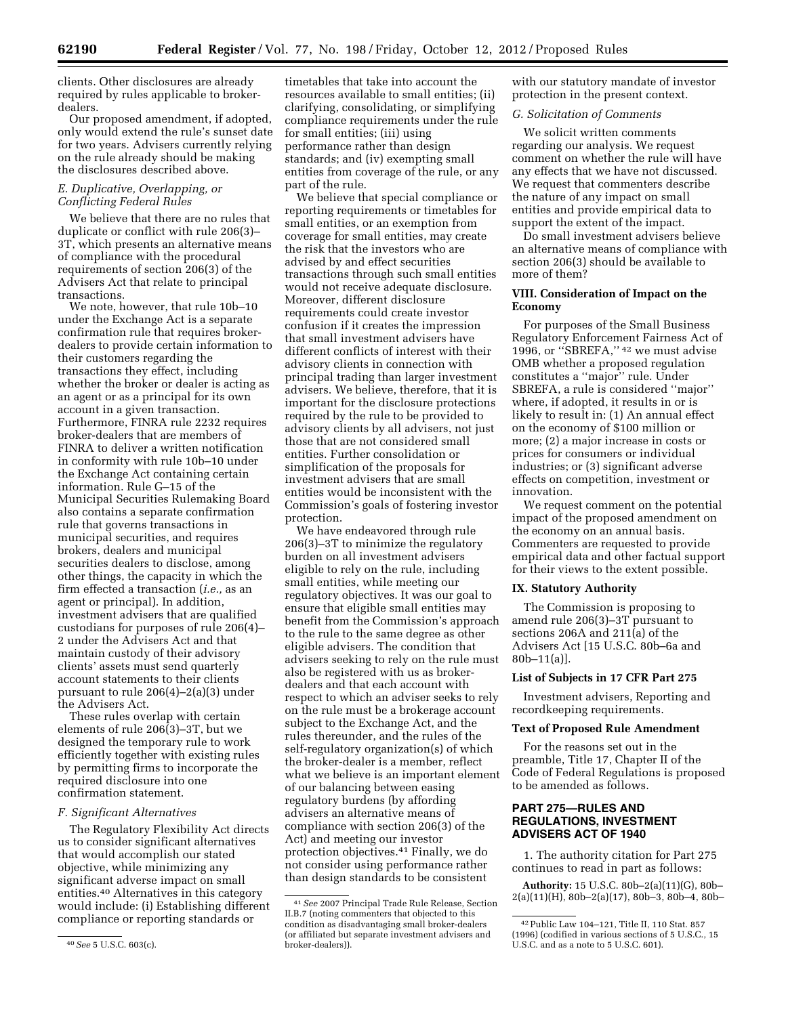clients. Other disclosures are already required by rules applicable to brokerdealers.

Our proposed amendment, if adopted, only would extend the rule's sunset date for two years. Advisers currently relying on the rule already should be making the disclosures described above.

## *E. Duplicative, Overlapping, or Conflicting Federal Rules*

We believe that there are no rules that duplicate or conflict with rule 206(3)– 3T, which presents an alternative means of compliance with the procedural requirements of section 206(3) of the Advisers Act that relate to principal transactions.

We note, however, that rule 10b–10 under the Exchange Act is a separate confirmation rule that requires brokerdealers to provide certain information to their customers regarding the transactions they effect, including whether the broker or dealer is acting as an agent or as a principal for its own account in a given transaction. Furthermore, FINRA rule 2232 requires broker-dealers that are members of FINRA to deliver a written notification in conformity with rule 10b–10 under the Exchange Act containing certain information. Rule G–15 of the Municipal Securities Rulemaking Board also contains a separate confirmation rule that governs transactions in municipal securities, and requires brokers, dealers and municipal securities dealers to disclose, among other things, the capacity in which the firm effected a transaction (*i.e.,* as an agent or principal). In addition, investment advisers that are qualified custodians for purposes of rule 206(4)– 2 under the Advisers Act and that maintain custody of their advisory clients' assets must send quarterly account statements to their clients pursuant to rule 206(4)–2(a)(3) under the Advisers Act.

These rules overlap with certain elements of rule  $206(3)-3T$ , but we designed the temporary rule to work efficiently together with existing rules by permitting firms to incorporate the required disclosure into one confirmation statement.

## *F. Significant Alternatives*

The Regulatory Flexibility Act directs us to consider significant alternatives that would accomplish our stated objective, while minimizing any significant adverse impact on small entities.40 Alternatives in this category would include: (i) Establishing different compliance or reporting standards or

timetables that take into account the resources available to small entities; (ii) clarifying, consolidating, or simplifying compliance requirements under the rule for small entities; (iii) using performance rather than design standards; and (iv) exempting small entities from coverage of the rule, or any part of the rule.

We believe that special compliance or reporting requirements or timetables for small entities, or an exemption from coverage for small entities, may create the risk that the investors who are advised by and effect securities transactions through such small entities would not receive adequate disclosure. Moreover, different disclosure requirements could create investor confusion if it creates the impression that small investment advisers have different conflicts of interest with their advisory clients in connection with principal trading than larger investment advisers. We believe, therefore, that it is important for the disclosure protections required by the rule to be provided to advisory clients by all advisers, not just those that are not considered small entities. Further consolidation or simplification of the proposals for investment advisers that are small entities would be inconsistent with the Commission's goals of fostering investor protection.

We have endeavored through rule 206(3)–3T to minimize the regulatory burden on all investment advisers eligible to rely on the rule, including small entities, while meeting our regulatory objectives. It was our goal to ensure that eligible small entities may benefit from the Commission's approach to the rule to the same degree as other eligible advisers. The condition that advisers seeking to rely on the rule must also be registered with us as brokerdealers and that each account with respect to which an adviser seeks to rely on the rule must be a brokerage account subject to the Exchange Act, and the rules thereunder, and the rules of the self-regulatory organization(s) of which the broker-dealer is a member, reflect what we believe is an important element of our balancing between easing regulatory burdens (by affording advisers an alternative means of compliance with section 206(3) of the Act) and meeting our investor protection objectives.41 Finally, we do not consider using performance rather than design standards to be consistent

with our statutory mandate of investor protection in the present context.

#### *G. Solicitation of Comments*

We solicit written comments regarding our analysis. We request comment on whether the rule will have any effects that we have not discussed. We request that commenters describe the nature of any impact on small entities and provide empirical data to support the extent of the impact.

Do small investment advisers believe an alternative means of compliance with section 206(3) should be available to more of them?

## **VIII. Consideration of Impact on the Economy**

For purposes of the Small Business Regulatory Enforcement Fairness Act of 1996, or ''SBREFA,'' 42 we must advise OMB whether a proposed regulation constitutes a ''major'' rule. Under SBREFA, a rule is considered ''major'' where, if adopted, it results in or is likely to result in: (1) An annual effect on the economy of \$100 million or more; (2) a major increase in costs or prices for consumers or individual industries; or (3) significant adverse effects on competition, investment or innovation.

We request comment on the potential impact of the proposed amendment on the economy on an annual basis. Commenters are requested to provide empirical data and other factual support for their views to the extent possible.

## **IX. Statutory Authority**

The Commission is proposing to amend rule 206(3)–3T pursuant to sections 206A and  $211(a)$  of the Advisers Act [15 U.S.C. 80b–6a and  $80b-11(a)$ .

## **List of Subjects in 17 CFR Part 275**

Investment advisers, Reporting and recordkeeping requirements.

## **Text of Proposed Rule Amendment**

For the reasons set out in the preamble, Title 17, Chapter II of the Code of Federal Regulations is proposed to be amended as follows.

## **PART 275—RULES AND REGULATIONS, INVESTMENT ADVISERS ACT OF 1940**

1. The authority citation for Part 275 continues to read in part as follows:

**Authority:** 15 U.S.C. 80b–2(a)(11)(G), 80b–  $2(a)(11)(H)$ ,  $80b-2(a)(17)$ ,  $80b-3$ ,  $80b-4$ ,  $80b-$ 

<sup>40</sup>*See* 5 U.S.C. 603(c).

<sup>41</sup>*See* 2007 Principal Trade Rule Release, Section II.B.7 (noting commenters that objected to this condition as disadvantaging small broker-dealers (or affiliated but separate investment advisers and broker-dealers)).

<sup>42</sup>Public Law 104–121, Title II, 110 Stat. 857 (1996) (codified in various sections of 5 U.S.C., 15 U.S.C. and as a note to 5 U.S.C. 601).